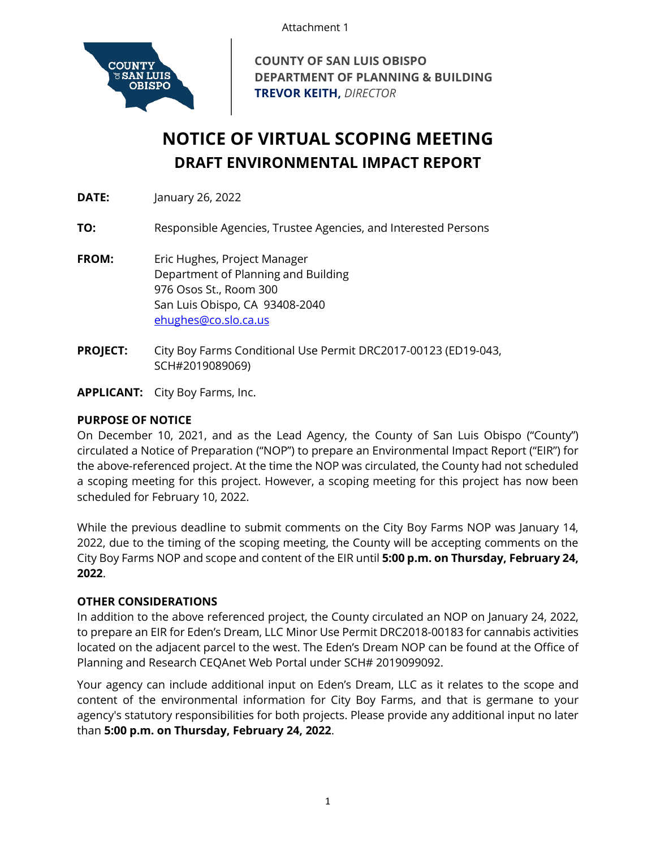Attachment 1



**COUNTY OF SAN LUIS OBISPO DEPARTMENT OF PLANNING & BUILDING TREVOR KEITH,** *DIRECTOR*

# **NOTICE OF VIRTUAL SCOPING MEETING DRAFT ENVIRONMENTAL IMPACT REPORT**

**DATE:** January 26, 2022

**TO:** Responsible Agencies, Trustee Agencies, and Interested Persons

- **FROM:** Eric Hughes, Project Manager Department of Planning and Building 976 Osos St., Room 300 San Luis Obispo, CA 93408-2040 [ehughes@co.slo.ca.us](mailto:ehughes@co.slo.ca.us)
- **PROJECT:** City Boy Farms Conditional Use Permit DRC2017-00123 (ED19-043, SCH#2019089069)

**APPLICANT:** City Boy Farms, Inc.

## **PURPOSE OF NOTICE**

On December 10, 2021, and as the Lead Agency, the County of San Luis Obispo ("County") circulated a Notice of Preparation ("NOP") to prepare an Environmental Impact Report ("EIR") for the above-referenced project. At the time the NOP was circulated, the County had not scheduled a scoping meeting for this project. However, a scoping meeting for this project has now been scheduled for February 10, 2022.

While the previous deadline to submit comments on the City Boy Farms NOP was January 14, 2022, due to the timing of the scoping meeting, the County will be accepting comments on the City Boy Farms NOP and scope and content of the EIR until **5:00 p.m. on Thursday, February 24, 2022**.

## **OTHER CONSIDERATIONS**

In addition to the above referenced project, the County circulated an NOP on January 24, 2022, to prepare an EIR for Eden's Dream, LLC Minor Use Permit DRC2018-00183 for cannabis activities located on the adjacent parcel to the west. The Eden's Dream NOP can be found at the Office of Planning and Research CEQAnet Web Portal under SCH# 2019099092.

Your agency can include additional input on Eden's Dream, LLC as it relates to the scope and content of the environmental information for City Boy Farms, and that is germane to your agency's statutory responsibilities for both projects. Please provide any additional input no later than **5:00 p.m. on Thursday, February 24, 2022**.